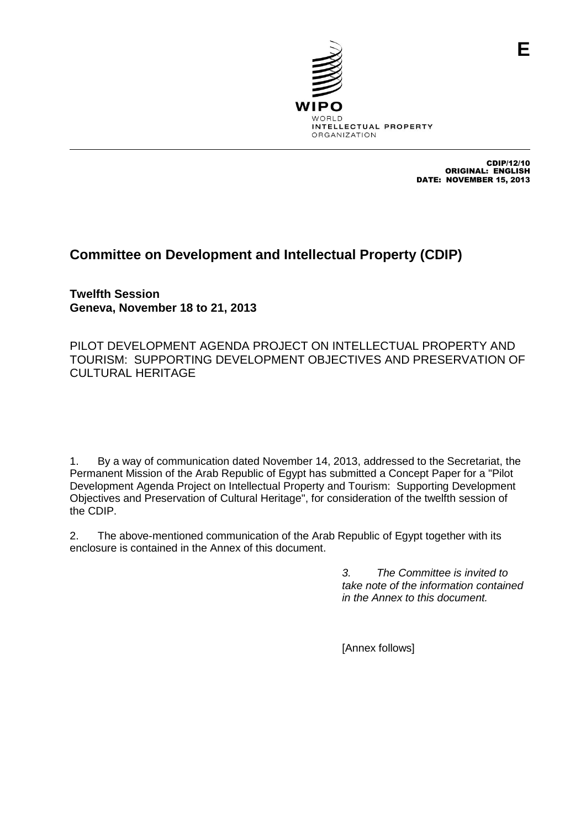

CDIP/12/10 ORIGINAL: ENGLISH DATE: NOVEMBER 15, 2013

## **Committee on Development and Intellectual Property (CDIP)**

**Twelfth Session Geneva, November 18 to 21, 2013**

PILOT DEVELOPMENT AGENDA PROJECT ON INTELLECTUAL PROPERTY AND TOURISM: SUPPORTING DEVELOPMENT OBJECTIVES AND PRESERVATION OF CULTURAL HERITAGE

1. By a way of communication dated November 14, 2013, addressed to the Secretariat, the Permanent Mission of the Arab Republic of Egypt has submitted a Concept Paper for a "Pilot Development Agenda Project on Intellectual Property and Tourism: Supporting Development Objectives and Preservation of Cultural Heritage", for consideration of the twelfth session of the CDIP.

2. The above-mentioned communication of the Arab Republic of Egypt together with its enclosure is contained in the Annex of this document.

> *3. The Committee is invited to take note of the information contained in the Annex to this document.*

[Annex follows]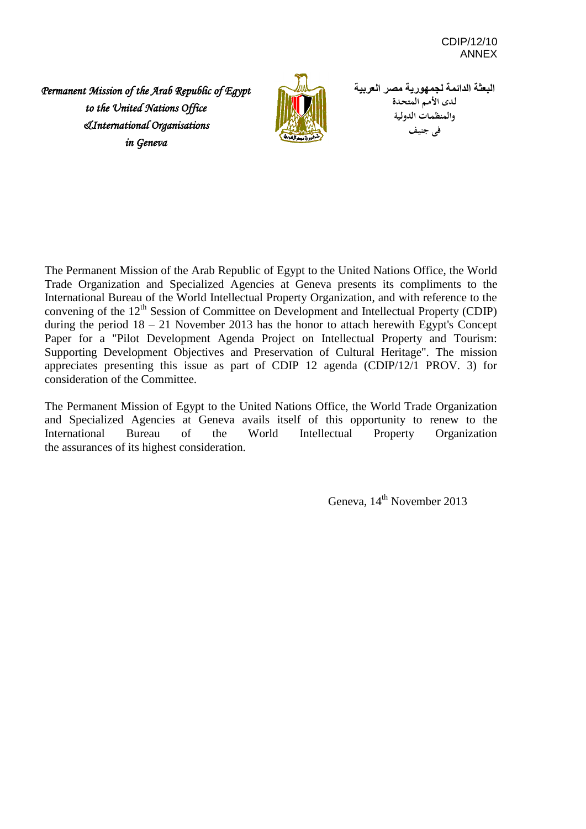*Permanent Mission of the Arab Republic of Egypt to the United Nations Office &International Organisations in Geneva*



**البعثة الدائمة لجمهورية مصر العربية لـدى األمـم المتحـدة والمنظمـات الدولـية فى جنيـف**

The Permanent Mission of the Arab Republic of Egypt to the United Nations Office, the World Trade Organization and Specialized Agencies at Geneva presents its compliments to the International Bureau of the World Intellectual Property Organization, and with reference to the convening of the  $12<sup>th</sup>$  Session of Committee on Development and Intellectual Property (CDIP) during the period  $18 - 21$  November 2013 has the honor to attach herewith Egypt's Concept Paper for a "Pilot Development Agenda Project on Intellectual Property and Tourism: Supporting Development Objectives and Preservation of Cultural Heritage". The mission appreciates presenting this issue as part of CDIP 12 agenda (CDIP/12/1 PROV. 3) for consideration of the Committee.

The Permanent Mission of Egypt to the United Nations Office, the World Trade Organization and Specialized Agencies at Geneva avails itself of this opportunity to renew to the International Bureau of the World Intellectual Property Organization the assurances of its highest consideration.

Geneva, 14<sup>th</sup> November 2013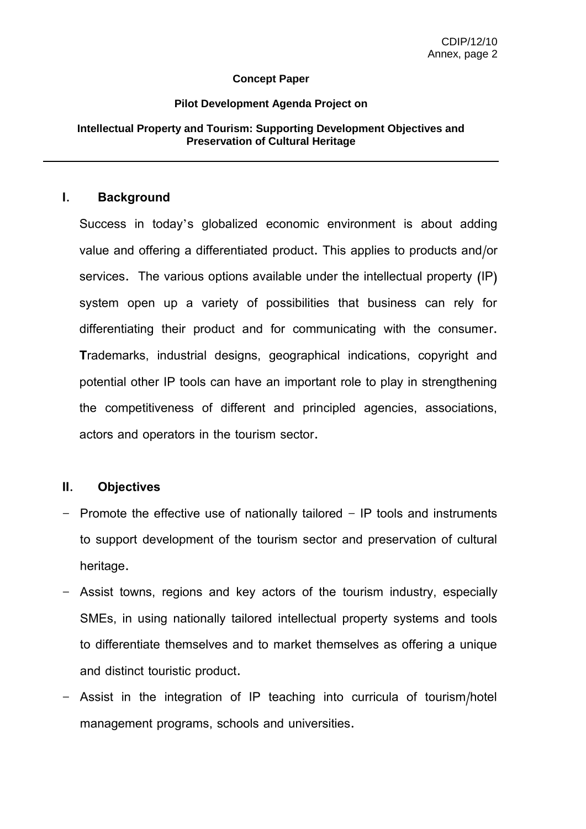#### **Concept Paper**

#### **Pilot Development Agenda Project on**

#### **Intellectual Property and Tourism: Supporting Development Objectives and Preservation of Cultural Heritage**

#### **I. Background**

Success in today's globalized economic environment is about adding value and offering a differentiated product. This applies to products and/or services. The various options available under the intellectual property (IP) system open up a variety of possibilities that business can rely for differentiating their product and for communicating with the consumer. **T**rademarks, industrial designs, geographical indications, copyright and potential other IP tools can have an important role to play in strengthening the competitiveness of different and principled agencies, associations, actors and operators in the tourism sector.

#### **II. Objectives**

- Promote the effective use of nationally tailored IP tools and instruments to support development of the tourism sector and preservation of cultural heritage.
- Assist towns, regions and key actors of the tourism industry, especially SMEs, in using nationally tailored intellectual property systems and tools to differentiate themselves and to market themselves as offering a unique and distinct touristic product.
- Assist in the integration of IP teaching into curricula of tourism/hotel management programs, schools and universities.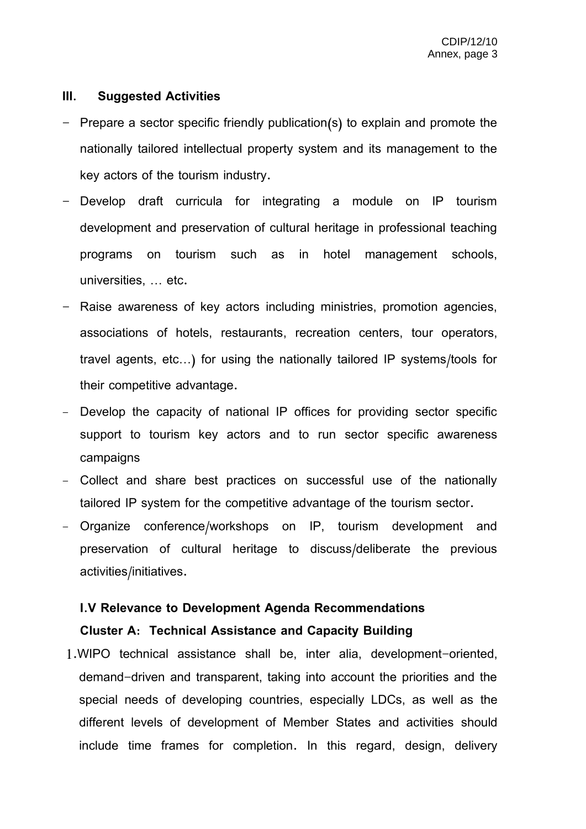### **III. Suggested Activities**

- Prepare a sector specific friendly publication(s) to explain and promote the nationally tailored intellectual property system and its management to the key actors of the tourism industry.
- Develop draft curricula for integrating a module on IP tourism development and preservation of cultural heritage in professional teaching programs on tourism such as in hotel management schools, universities, … etc.
- Raise awareness of key actors including ministries, promotion agencies, associations of hotels, restaurants, recreation centers, tour operators, travel agents, etc…) for using the nationally tailored IP systems/tools for their competitive advantage.
- Develop the capacity of national IP offices for providing sector specific support to tourism key actors and to run sector specific awareness campaigns
- Collect and share best practices on successful use of the nationally tailored IP system for the competitive advantage of the tourism sector.
- Organize conference/workshops on IP, tourism development and preservation of cultural heritage to discuss/deliberate the previous activities/initiatives.

# **I.V Relevance to Development Agenda Recommendations Cluster A: Technical Assistance and Capacity Building**

1.WIPO technical assistance shall be, inter alia, development-oriented, demand-driven and transparent, taking into account the priorities and the special needs of developing countries, especially LDCs, as well as the different levels of development of Member States and activities should include time frames for completion. In this regard, design, delivery